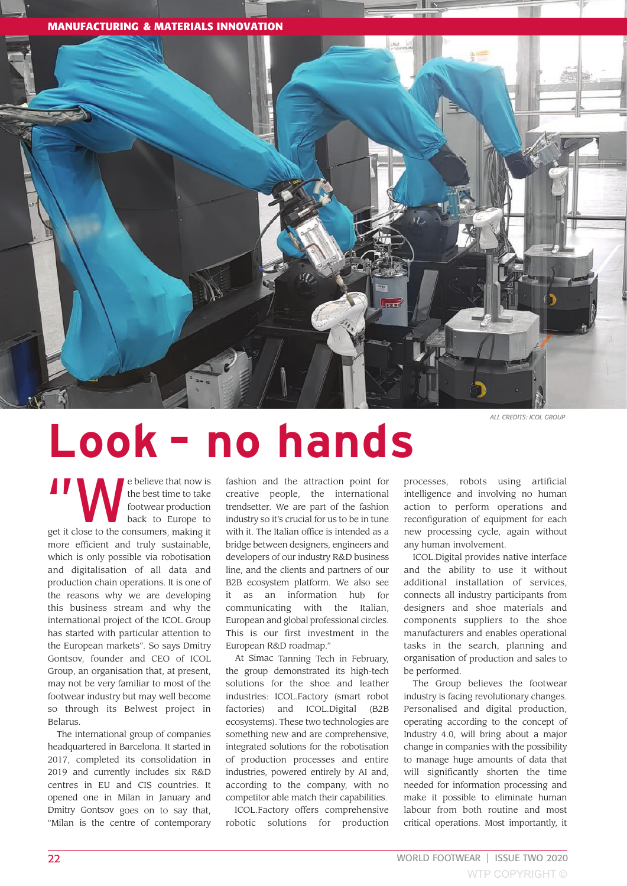



## **Look – no hands** *ALL CREDITS: ICOL GROUP*

The believe that now is<br>the best time to take<br>footwear production<br>back to Europe to the best time to take footwear production back to Europe to get it close to the consumers, making it more efficient and truly sustainable, which is only possible via robotisation and digitalisation of all data and production chain operations. It is one of the reasons why we are developing this business stream and why the international project of the ICOL Group has started with particular attention to the European markets". So says Dmitry Gontsov, founder and CEO of ICOL Group, an organisation that, at present, may not be very familiar to most of the footwear industry but may well become so through its Belwest project in Belarus.

The international group of companies headquartered in Barcelona. It started in 2017, completed its consolidation in 2019 and currently includes six R&D centres in EU and CIS countries. It opened one in Milan in January and Dmitry Gontsov goes on to say that, "Milan is the centre of contemporary fashion and the attraction point for creative people, the international trendsetter. We are part of the fashion industry so it's crucial for us to be in tune with it. The Italian office is intended as a bridge between designers, engineers and developers of our industry R&D business line, and the clients and partners of our B2B ecosystem platform. We also see it as an information hub for communicating with the Italian, European and global professional circles. This is our first investment in the European R&D roadmap."

At Simac Tanning Tech in February, the group demonstrated its high-tech solutions for the shoe and leather industries: ICOL.Factory (smart robot factories) and ICOL.Digital (B2B ecosystems). These two technologies are something new and are comprehensive, integrated solutions for the robotisation of production processes and entire industries, powered entirely by AI and, according to the company, with no competitor able match their capabilities.

ICOL.Factory offers comprehensive robotic solutions for production processes, robots using artificial intelligence and involving no human action to perform operations and reconfiguration of equipment for each new processing cycle, again without any human involvement.

ICOL.Digital provides native interface and the ability to use it without additional installation of services, connects all industry participants from designers and shoe materials and components suppliers to the shoe manufacturers and enables operational tasks in the search, planning and organisation of production and sales to be performed.

The Group believes the footwear industry is facing revolutionary changes. Personalised and digital production, operating according to the concept of Industry 4.0, will bring about a major change in companies with the possibility to manage huge amounts of data that will significantly shorten the time needed for information processing and make it possible to eliminate human labour from both routine and most critical operations. Most importantly, it